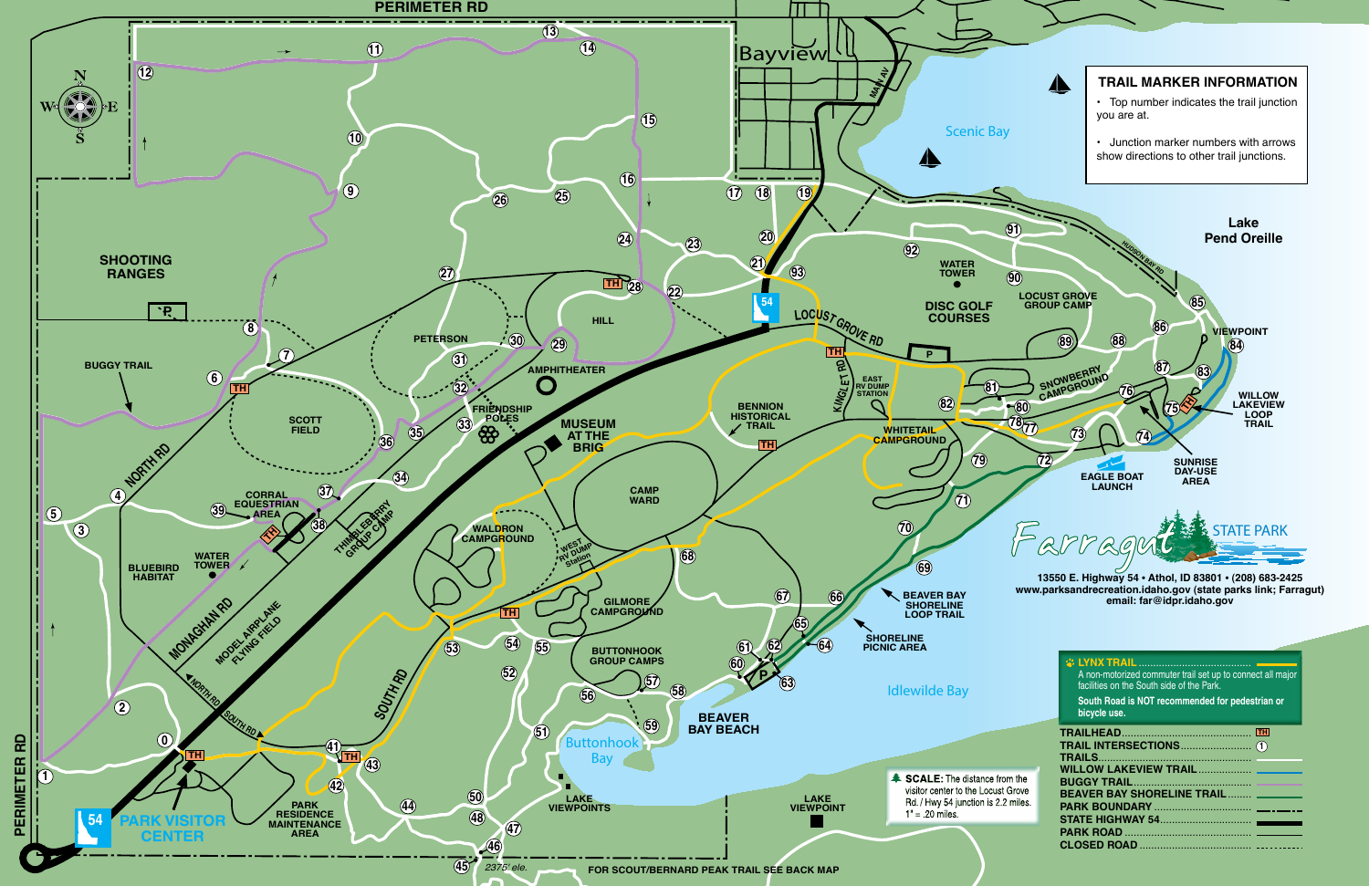

**www.parksandrecreation.idaho.gov (state parks link; Farragut)** 

|                                  | <b><i>S</i></b> LYNX TRAIL.<br>A non-motorized commuter trail set up to connect all major<br>facilities on the South side of the Park.<br>South Road is NOT recommended for pedestrian or<br>bicycle use. |
|----------------------------------|-----------------------------------------------------------------------------------------------------------------------------------------------------------------------------------------------------------|
|                                  | <b>TH</b>                                                                                                                                                                                                 |
| the<br>ove <sup>.</sup><br>iles. | WILLOW LAKEVIEW TRAIL<br><b>BUGGY TRAIL</b><br><b>BEAVER BAY SHORELINE TRAIL ______</b>                                                                                                                   |
|                                  |                                                                                                                                                                                                           |